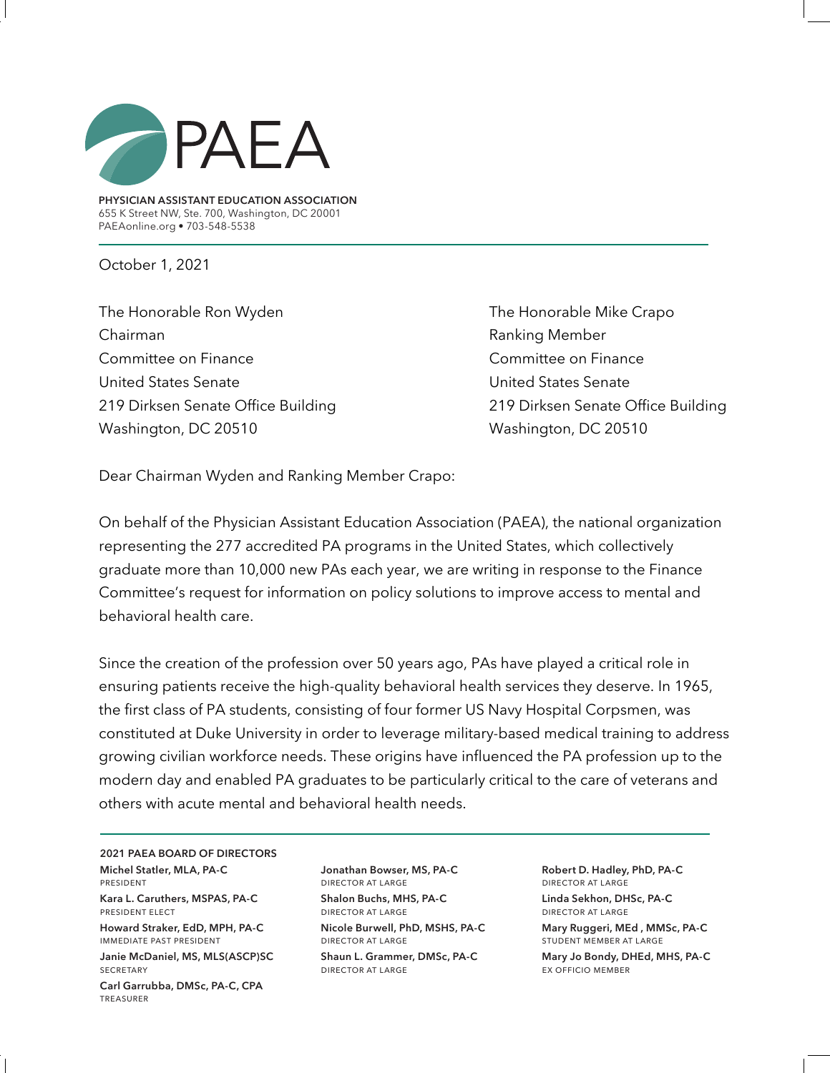

**PHYSICIAN ASSISTANT EDUCATION ASSOCIATION** 655 K Street NW, Ste. 700, Washington, DC 20001 PAEAonline.org • 703-548-5538

October 1, 2021

The Honorable Ron Wyden The Honorable Mike Crapo Chairman **Chairman** Ranking Member Committee on Finance Committee on Finance United States Senate United States Senate 219 Dirksen Senate Office Building 219 Dirksen Senate Office Building Washington, DC 20510 Washington, DC 20510

Dear Chairman Wyden and Ranking Member Crapo:

On behalf of the Physician Assistant Education Association (PAEA), the national organization representing the 277 accredited PA programs in the United States, which collectively graduate more than 10,000 new PAs each year, we are writing in response to the Finance Committee's request for information on policy solutions to improve access to mental and behavioral health care.

Since the creation of the profession over 50 years ago, PAs have played a critical role in ensuring patients receive the high-quality behavioral health services they deserve. In 1965, the first class of PA students, consisting of four former US Navy Hospital Corpsmen, was constituted at Duke University in order to leverage military-based medical training to address growing civilian workforce needs. These origins have influenced the PA profession up to the modern day and enabled PA graduates to be particularly critical to the care of veterans and others with acute mental and behavioral health needs.

**2021 PAEA BOARD OF DIRECTORS Michel Statler, MLA, PA-C**  president

**Kara L. Caruthers, MSPAS, PA-C** president elect

**Howard Straker, EdD, MPH, PA-C** immediate past president

**Janie McDaniel, MS, MLS(ASCP)SC SECRETARY** 

**Carl Garrubba, DMSc, PA-C, CPA**  treasurer

**Jonathan Bowser, MS, PA-C** director at large **Shalon Buchs, MHS, PA-C** director at large

**Nicole Burwell, PhD, MSHS, PA-C** director at large

**Shaun L. Grammer, DMSc, PA-C** director at large

**Robert D. Hadley, PhD, PA-C** director at large **Linda Sekhon, DHSc, PA-C**  director at large

**Mary Ruggeri, MEd , MMSc, PA-C**  student member at large

**Mary Jo Bondy, DHEd, MHS, PA-C** ex officio member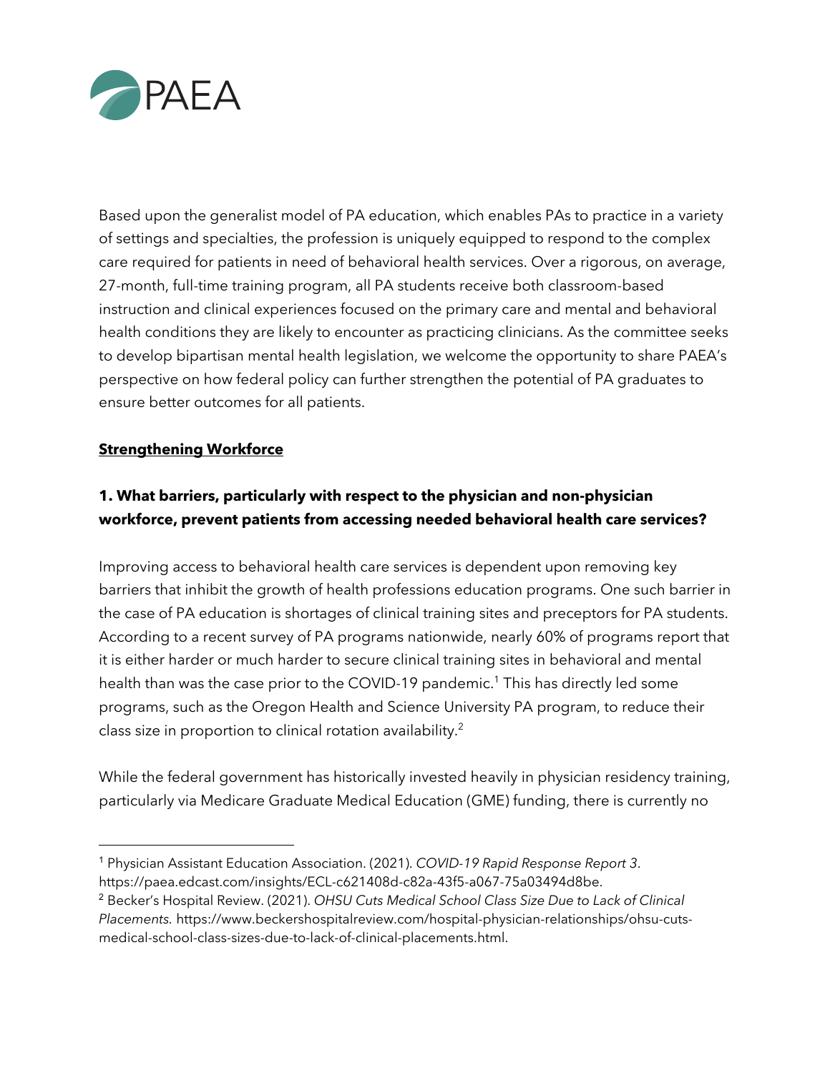

Based upon the generalist model of PA education, which enables PAs to practice in a variety of settings and specialties, the profession is uniquely equipped to respond to the complex care required for patients in need of behavioral health services. Over a rigorous, on average, 27-month, full-time training program, all PA students receive both classroom-based instruction and clinical experiences focused on the primary care and mental and behavioral health conditions they are likely to encounter as practicing clinicians. As the committee seeks to develop bipartisan mental health legislation, we welcome the opportunity to share PAEA's perspective on how federal policy can further strengthen the potential of PA graduates to ensure better outcomes for all patients.

#### **Strengthening Workforce**

# **1. What barriers, particularly with respect to the physician and non-physician workforce, prevent patients from accessing needed behavioral health care services?**

Improving access to behavioral health care services is dependent upon removing key barriers that inhibit the growth of health professions education programs. One such barrier in the case of PA education is shortages of clinical training sites and preceptors for PA students. According to a recent survey of PA programs nationwide, nearly 60% of programs report that it is either harder or much harder to secure clinical training sites in behavioral and mental health than was the case prior to the COVID-19 pandemic. <sup>1</sup> This has directly led some programs, such as the Oregon Health and Science University PA program, to reduce their class size in proportion to clinical rotation availability. 2

While the federal government has historically invested heavily in physician residency training, particularly via Medicare Graduate Medical Education (GME) funding, there is currently no

<sup>1</sup> Physician Assistant Education Association. (2021). *COVID-19 Rapid Response Report 3*. https://paea.edcast.com/insights/ECL-c621408d-c82a-43f5-a067-75a03494d8be.

<sup>2</sup> Becker's Hospital Review. (2021). *OHSU Cuts Medical School Class Size Due to Lack of Clinical Placements.* https://www.beckershospitalreview.com/hospital-physician-relationships/ohsu-cutsmedical-school-class-sizes-due-to-lack-of-clinical-placements.html.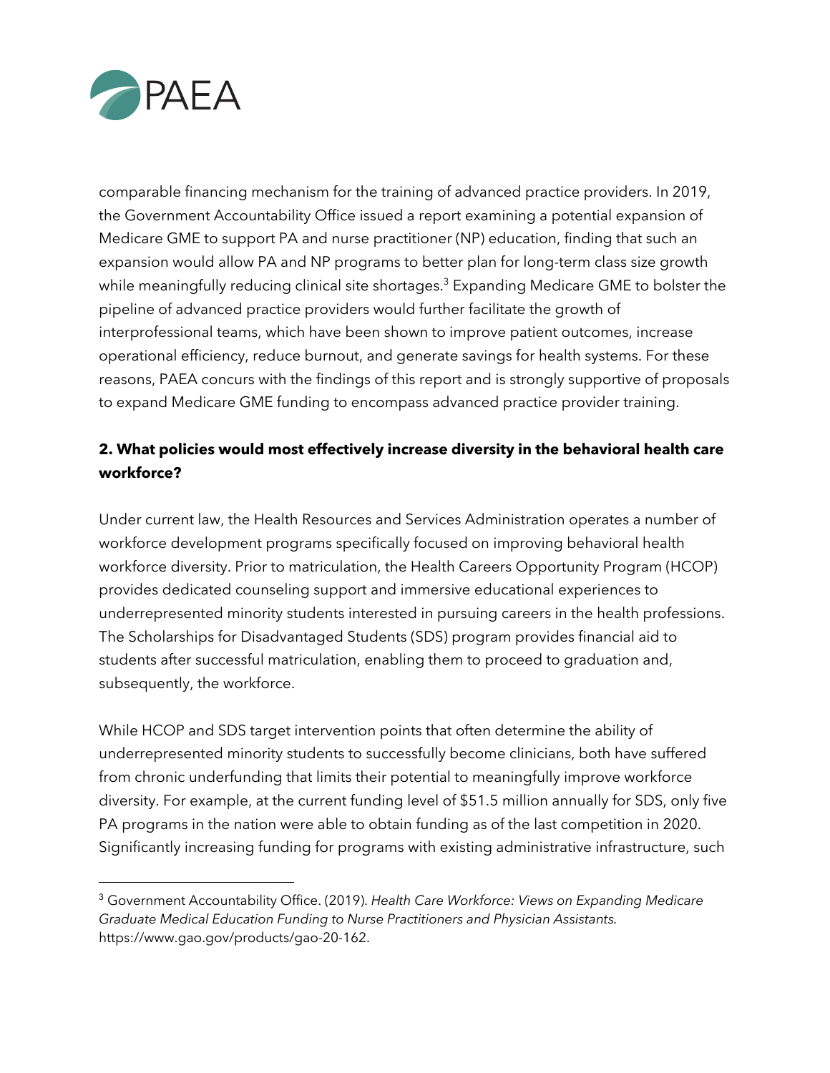

comparable financing mechanism for the training of advanced practice providers. In 2019, the Government Accountability Office issued a report examining a potential expansion of Medicare GME to support PA and nurse practitioner (NP) education, finding that such an expansion would allow PA and NP programs to better plan for long-term class size growth while meaningfully reducing clinical site shortages. <sup>3</sup> Expanding Medicare GME to bolster the pipeline of advanced practice providers would further facilitate the growth of interprofessional teams, which have been shown to improve patient outcomes, increase operational efficiency, reduce burnout, and generate savings for health systems. For these reasons, PAEA concurs with the findings of this report and is strongly supportive of proposals to expand Medicare GME funding to encompass advanced practice provider training.

# **2. What policies would most effectively increase diversity in the behavioral health care workforce?**

Under current law, the Health Resources and Services Administration operates a number of workforce development programs specifically focused on improving behavioral health workforce diversity. Prior to matriculation, the Health Careers Opportunity Program (HCOP) provides dedicated counseling support and immersive educational experiences to underrepresented minority students interested in pursuing careers in the health professions. The Scholarships for Disadvantaged Students (SDS) program provides financial aid to students after successful matriculation, enabling them to proceed to graduation and, subsequently, the workforce.

While HCOP and SDS target intervention points that often determine the ability of underrepresented minority students to successfully become clinicians, both have suffered from chronic underfunding that limits their potential to meaningfully improve workforce diversity. For example, at the current funding level of \$51.5 million annually for SDS, only five PA programs in the nation were able to obtain funding as of the last competition in 2020. Significantly increasing funding for programs with existing administrative infrastructure, such

<sup>3</sup> Government Accountability Office. (2019). *Health Care Workforce: Views on Expanding Medicare Graduate Medical Education Funding to Nurse Practitioners and Physician Assistants.*  https://www.gao.gov/products/gao-20-162.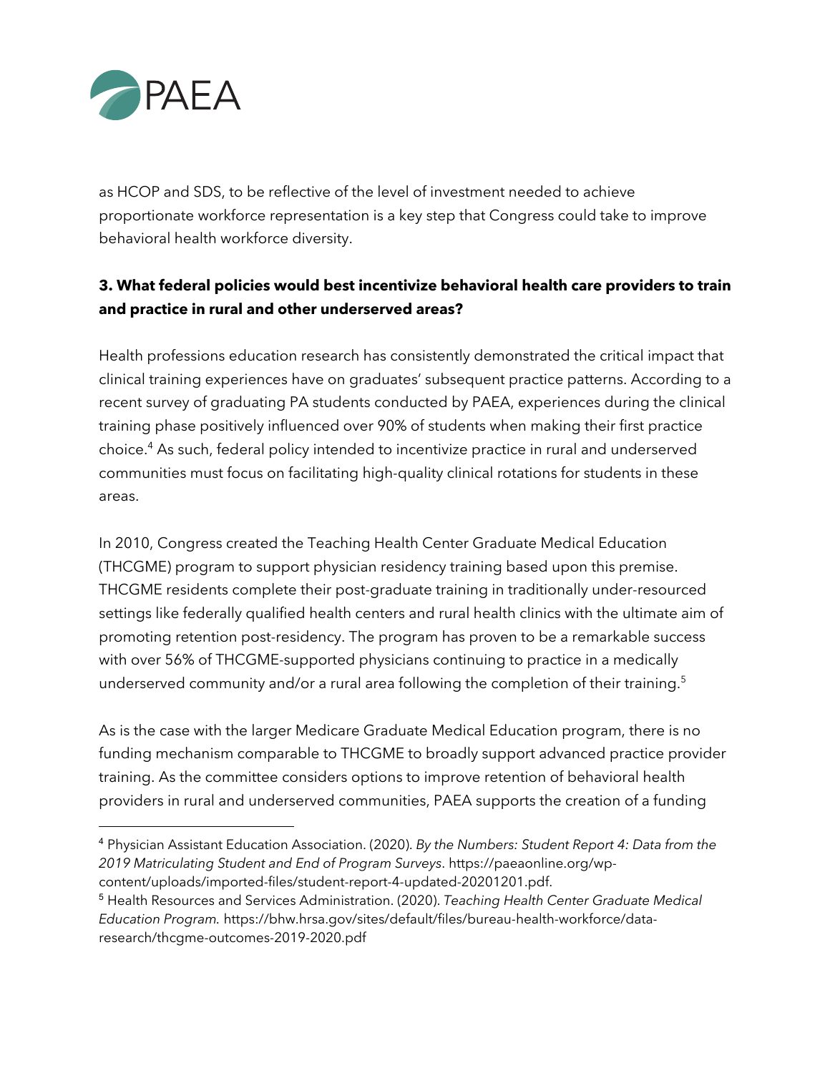

as HCOP and SDS, to be reflective of the level of investment needed to achieve proportionate workforce representation is a key step that Congress could take to improve behavioral health workforce diversity.

## **3. What federal policies would best incentivize behavioral health care providers to train and practice in rural and other underserved areas?**

Health professions education research has consistently demonstrated the critical impact that clinical training experiences have on graduates' subsequent practice patterns. According to a recent survey of graduating PA students conducted by PAEA, experiences during the clinical training phase positively influenced over 90% of students when making their first practice choice.4 As such, federal policy intended to incentivize practice in rural and underserved communities must focus on facilitating high-quality clinical rotations for students in these areas.

In 2010, Congress created the Teaching Health Center Graduate Medical Education (THCGME) program to support physician residency training based upon this premise. THCGME residents complete their post-graduate training in traditionally under-resourced settings like federally qualified health centers and rural health clinics with the ultimate aim of promoting retention post-residency. The program has proven to be a remarkable success with over 56% of THCGME-supported physicians continuing to practice in a medically underserved community and/or a rural area following the completion of their training. 5

As is the case with the larger Medicare Graduate Medical Education program, there is no funding mechanism comparable to THCGME to broadly support advanced practice provider training. As the committee considers options to improve retention of behavioral health providers in rural and underserved communities, PAEA supports the creation of a funding

<sup>4</sup> Physician Assistant Education Association. (2020). *By the Numbers: Student Report 4: Data from the 2019 Matriculating Student and End of Program Surveys*. https://paeaonline.org/wpcontent/uploads/imported-files/student-report-4-updated-20201201.pdf.

<sup>5</sup> Health Resources and Services Administration. (2020). *Teaching Health Center Graduate Medical Education Program.* https://bhw.hrsa.gov/sites/default/files/bureau-health-workforce/dataresearch/thcgme-outcomes-2019-2020.pdf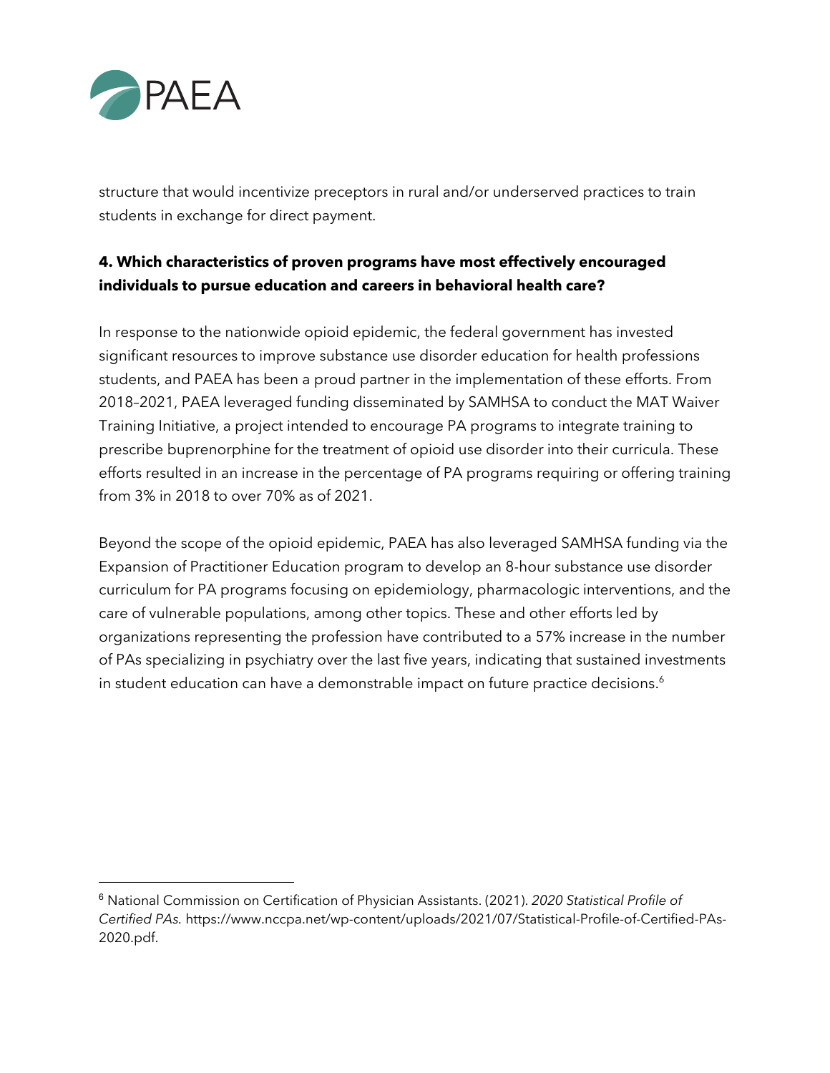

structure that would incentivize preceptors in rural and/or underserved practices to train students in exchange for direct payment.

## **4. Which characteristics of proven programs have most effectively encouraged individuals to pursue education and careers in behavioral health care?**

In response to the nationwide opioid epidemic, the federal government has invested significant resources to improve substance use disorder education for health professions students, and PAEA has been a proud partner in the implementation of these efforts. From 2018–2021, PAEA leveraged funding disseminated by SAMHSA to conduct the MAT Waiver Training Initiative, a project intended to encourage PA programs to integrate training to prescribe buprenorphine for the treatment of opioid use disorder into their curricula. These efforts resulted in an increase in the percentage of PA programs requiring or offering training from 3% in 2018 to over 70% as of 2021.

Beyond the scope of the opioid epidemic, PAEA has also leveraged SAMHSA funding via the Expansion of Practitioner Education program to develop an 8-hour substance use disorder curriculum for PA programs focusing on epidemiology, pharmacologic interventions, and the care of vulnerable populations, among other topics. These and other efforts led by organizations representing the profession have contributed to a 57% increase in the number of PAs specializing in psychiatry over the last five years, indicating that sustained investments in student education can have a demonstrable impact on future practice decisions. $^6$ 

<sup>6</sup> National Commission on Certification of Physician Assistants. (2021). *2020 Statistical Profile of Certified PAs.* https://www.nccpa.net/wp-content/uploads/2021/07/Statistical-Profile-of-Certified-PAs-2020.pdf.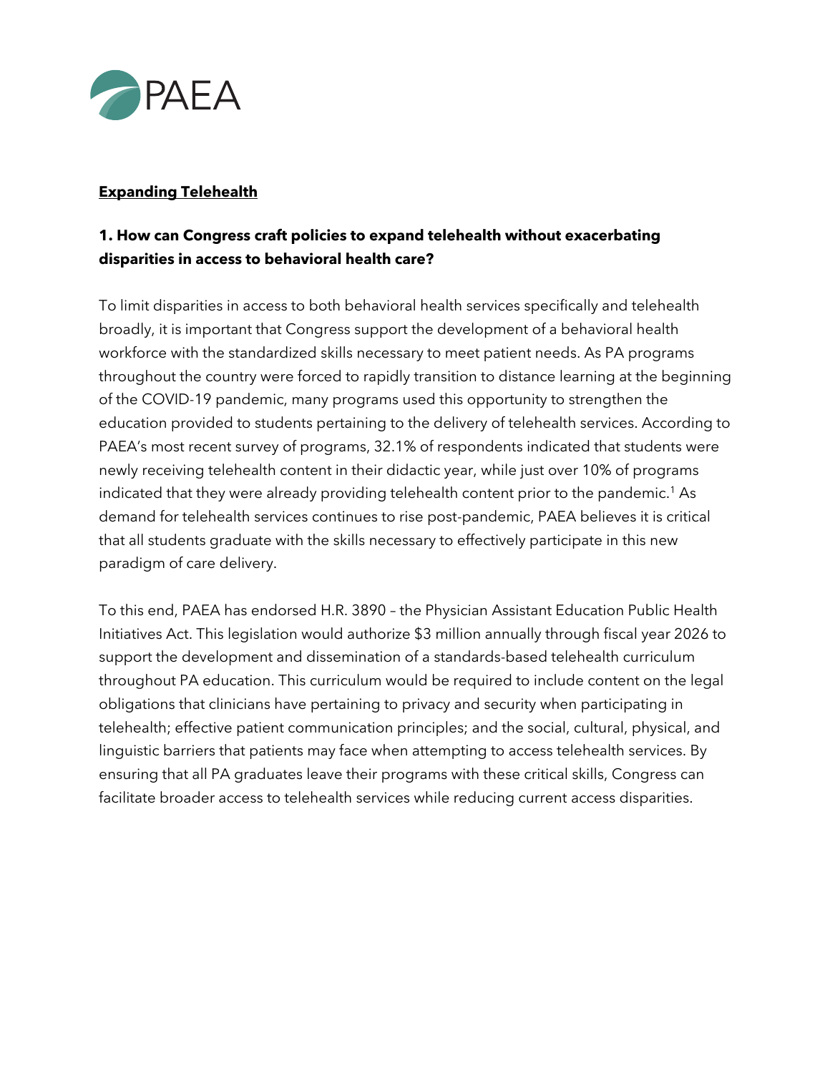

#### **Expanding Telehealth**

## **1. How can Congress craft policies to expand telehealth without exacerbating disparities in access to behavioral health care?**

To limit disparities in access to both behavioral health services specifically and telehealth broadly, it is important that Congress support the development of a behavioral health workforce with the standardized skills necessary to meet patient needs. As PA programs throughout the country were forced to rapidly transition to distance learning at the beginning of the COVID-19 pandemic, many programs used this opportunity to strengthen the education provided to students pertaining to the delivery of telehealth services. According to PAEA's most recent survey of programs, 32.1% of respondents indicated that students were newly receiving telehealth content in their didactic year, while just over 10% of programs indicated that they were already providing telehealth content prior to the pandemic. <sup>1</sup> As demand for telehealth services continues to rise post-pandemic, PAEA believes it is critical that all students graduate with the skills necessary to effectively participate in this new paradigm of care delivery.

To this end, PAEA has endorsed H.R. 3890 – the Physician Assistant Education Public Health Initiatives Act. This legislation would authorize \$3 million annually through fiscal year 2026 to support the development and dissemination of a standards-based telehealth curriculum throughout PA education. This curriculum would be required to include content on the legal obligations that clinicians have pertaining to privacy and security when participating in telehealth; effective patient communication principles; and the social, cultural, physical, and linguistic barriers that patients may face when attempting to access telehealth services. By ensuring that all PA graduates leave their programs with these critical skills, Congress can facilitate broader access to telehealth services while reducing current access disparities.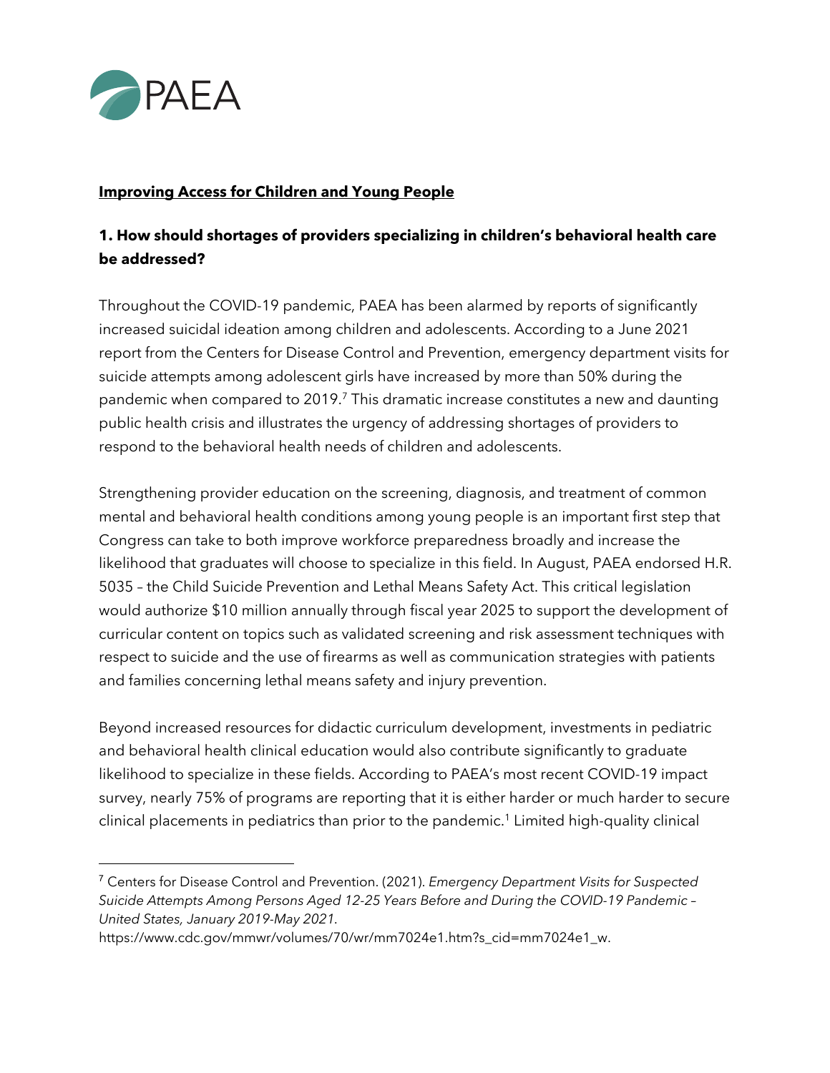

#### **Improving Access for Children and Young People**

## **1. How should shortages of providers specializing in children's behavioral health care be addressed?**

Throughout the COVID-19 pandemic, PAEA has been alarmed by reports of significantly increased suicidal ideation among children and adolescents. According to a June 2021 report from the Centers for Disease Control and Prevention, emergency department visits for suicide attempts among adolescent girls have increased by more than 50% during the pandemic when compared to 2019.<sup>7</sup> This dramatic increase constitutes a new and daunting public health crisis and illustrates the urgency of addressing shortages of providers to respond to the behavioral health needs of children and adolescents.

Strengthening provider education on the screening, diagnosis, and treatment of common mental and behavioral health conditions among young people is an important first step that Congress can take to both improve workforce preparedness broadly and increase the likelihood that graduates will choose to specialize in this field. In August, PAEA endorsed H.R. 5035 – the Child Suicide Prevention and Lethal Means Safety Act. This critical legislation would authorize \$10 million annually through fiscal year 2025 to support the development of curricular content on topics such as validated screening and risk assessment techniques with respect to suicide and the use of firearms as well as communication strategies with patients and families concerning lethal means safety and injury prevention.

Beyond increased resources for didactic curriculum development, investments in pediatric and behavioral health clinical education would also contribute significantly to graduate likelihood to specialize in these fields. According to PAEA's most recent COVID-19 impact survey, nearly 75% of programs are reporting that it is either harder or much harder to secure clinical placements in pediatrics than prior to the pandemic. <sup>1</sup> Limited high-quality clinical

<sup>7</sup> Centers for Disease Control and Prevention. (2021). *Emergency Department Visits for Suspected Suicide Attempts Among Persons Aged 12-25 Years Before and During the COVID-19 Pandemic – United States, January 2019-May 2021.* 

https://www.cdc.gov/mmwr/volumes/70/wr/mm7024e1.htm?s\_cid=mm7024e1\_w.